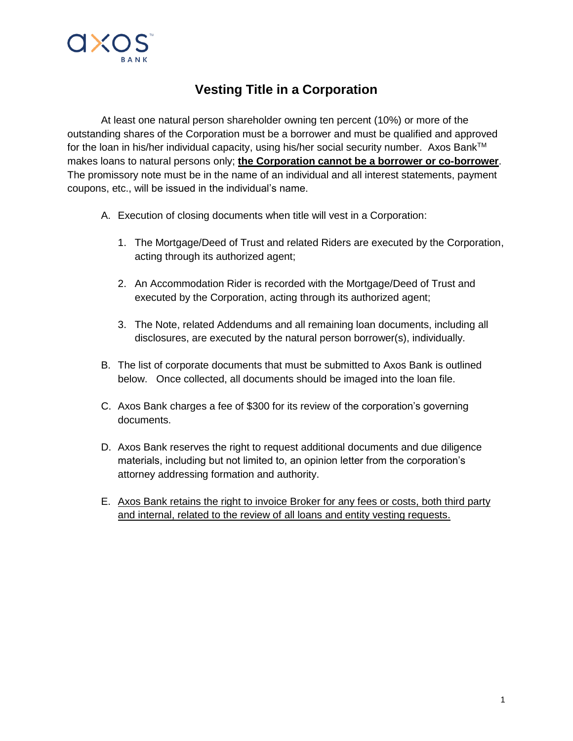

## **Vesting Title in a Corporation**

At least one natural person shareholder owning ten percent (10%) or more of the outstanding shares of the Corporation must be a borrower and must be qualified and approved for the loan in his/her individual capacity, using his/her social security number. Axos Bank™ makes loans to natural persons only; **the Corporation cannot be a borrower or co-borrower**. The promissory note must be in the name of an individual and all interest statements, payment coupons, etc., will be issued in the individual's name.

- A. Execution of closing documents when title will vest in a Corporation:
	- 1. The Mortgage/Deed of Trust and related Riders are executed by the Corporation, acting through its authorized agent;
	- 2. An Accommodation Rider is recorded with the Mortgage/Deed of Trust and executed by the Corporation, acting through its authorized agent;
	- 3. The Note, related Addendums and all remaining loan documents, including all disclosures, are executed by the natural person borrower(s), individually.
- B. The list of corporate documents that must be submitted to Axos Bank is outlined below. Once collected, all documents should be imaged into the loan file.
- C. Axos Bank charges a fee of \$300 for its review of the corporation's governing documents.
- D. Axos Bank reserves the right to request additional documents and due diligence materials, including but not limited to, an opinion letter from the corporation's attorney addressing formation and authority.
- E. Axos Bank retains the right to invoice Broker for any fees or costs, both third party and internal, related to the review of all loans and entity vesting requests.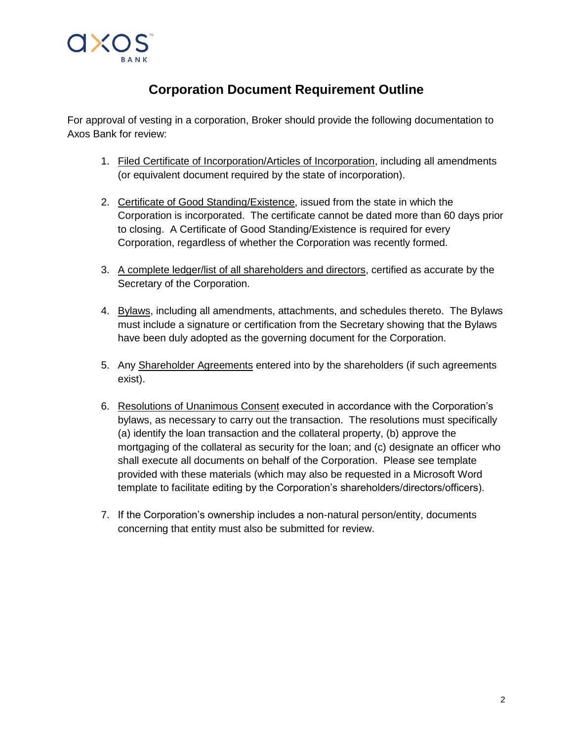

## **Corporation Document Requirement Outline**

For approval of vesting in a corporation, Broker should provide the following documentation to Axos Bank for review:

- 1. Filed Certificate of Incorporation/Articles of Incorporation, including all amendments (or equivalent document required by the state of incorporation).
- 2. Certificate of Good Standing/Existence, issued from the state in which the Corporation is incorporated. The certificate cannot be dated more than 60 days prior to closing. A Certificate of Good Standing/Existence is required for every Corporation, regardless of whether the Corporation was recently formed.
- 3. A complete ledger/list of all shareholders and directors, certified as accurate by the Secretary of the Corporation.
- 4. Bylaws, including all amendments, attachments, and schedules thereto. The Bylaws must include a signature or certification from the Secretary showing that the Bylaws have been duly adopted as the governing document for the Corporation.
- 5. Any Shareholder Agreements entered into by the shareholders (if such agreements exist).
- 6. Resolutions of Unanimous Consent executed in accordance with the Corporation's bylaws, as necessary to carry out the transaction. The resolutions must specifically (a) identify the loan transaction and the collateral property, (b) approve the mortgaging of the collateral as security for the loan; and (c) designate an officer who shall execute all documents on behalf of the Corporation. Please see template provided with these materials (which may also be requested in a Microsoft Word template to facilitate editing by the Corporation's shareholders/directors/officers).
- 7. If the Corporation's ownership includes a non-natural person/entity, documents concerning that entity must also be submitted for review.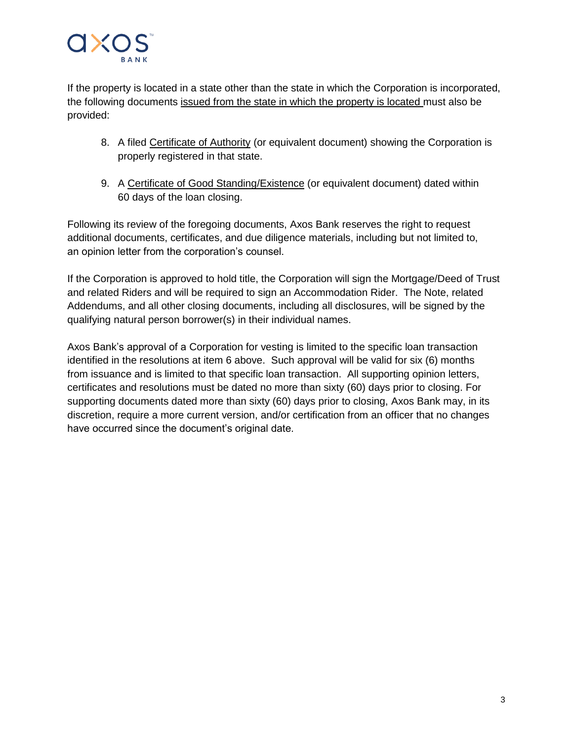

If the property is located in a state other than the state in which the Corporation is incorporated, the following documents issued from the state in which the property is located must also be provided:

- 8. A filed Certificate of Authority (or equivalent document) showing the Corporation is properly registered in that state.
- 9. A Certificate of Good Standing/Existence (or equivalent document) dated within 60 days of the loan closing.

Following its review of the foregoing documents, Axos Bank reserves the right to request additional documents, certificates, and due diligence materials, including but not limited to, an opinion letter from the corporation's counsel.

If the Corporation is approved to hold title, the Corporation will sign the Mortgage/Deed of Trust and related Riders and will be required to sign an Accommodation Rider. The Note, related Addendums, and all other closing documents, including all disclosures, will be signed by the qualifying natural person borrower(s) in their individual names.

Axos Bank's approval of a Corporation for vesting is limited to the specific loan transaction identified in the resolutions at item 6 above. Such approval will be valid for six (6) months from issuance and is limited to that specific loan transaction. All supporting opinion letters, certificates and resolutions must be dated no more than sixty (60) days prior to closing. For supporting documents dated more than sixty (60) days prior to closing, Axos Bank may, in its discretion, require a more current version, and/or certification from an officer that no changes have occurred since the document's original date.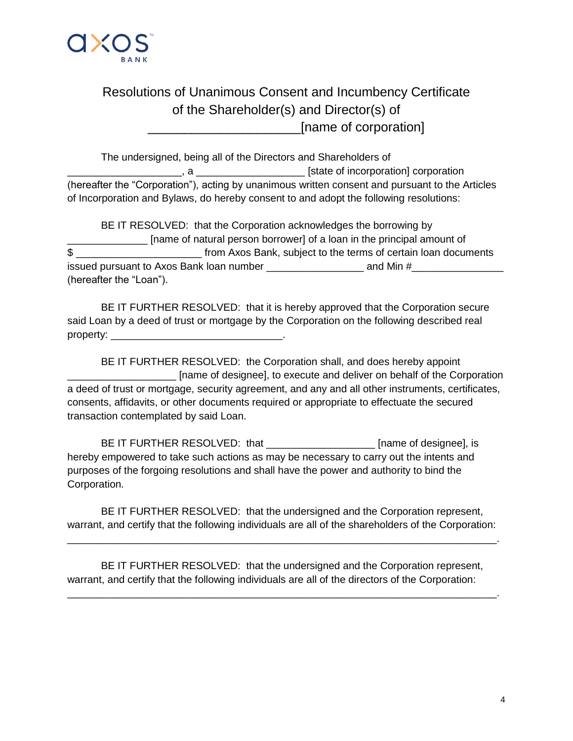

## Resolutions of Unanimous Consent and Incumbency Certificate of the Shareholder(s) and Director(s) of \_\_\_\_\_\_\_\_\_\_\_\_\_\_\_\_\_\_\_\_\_[name of corporation]

The undersigned, being all of the Directors and Shareholders of \_\_\_\_\_\_\_\_\_\_\_\_\_\_\_\_\_\_\_\_, a \_\_\_\_\_\_\_\_\_\_\_\_\_\_\_\_\_\_\_ [state of incorporation] corporation (hereafter the "Corporation"), acting by unanimous written consent and pursuant to the Articles of Incorporation and Bylaws, do hereby consent to and adopt the following resolutions:

BE IT RESOLVED: that the Corporation acknowledges the borrowing by \_\_\_\_\_\_\_\_\_\_\_\_\_\_ [name of natural person borrower] of a loan in the principal amount of \$ issued pursuant to Axos Bank loan number \_\_\_\_\_\_\_\_\_\_\_\_\_\_\_\_\_ and Min #\_\_\_\_\_\_\_\_\_\_\_\_\_\_\_\_ (hereafter the "Loan").

BE IT FURTHER RESOLVED: that it is hereby approved that the Corporation secure said Loan by a deed of trust or mortgage by the Corporation on the following described real property: \_\_\_\_\_\_\_\_\_\_\_\_\_\_\_\_\_\_\_\_\_\_\_\_\_\_\_\_\_\_.

BE IT FURTHER RESOLVED: the Corporation shall, and does hereby appoint \_\_\_\_\_\_\_\_\_\_\_\_\_\_\_\_\_\_\_ [name of designee], to execute and deliver on behalf of the Corporation a deed of trust or mortgage, security agreement, and any and all other instruments, certificates, consents, affidavits, or other documents required or appropriate to effectuate the secured transaction contemplated by said Loan.

BE IT FURTHER RESOLVED: that [name of designee], is hereby empowered to take such actions as may be necessary to carry out the intents and purposes of the forgoing resolutions and shall have the power and authority to bind the Corporation.

BE IT FURTHER RESOLVED: that the undersigned and the Corporation represent, warrant, and certify that the following individuals are all of the shareholders of the Corporation:

\_\_\_\_\_\_\_\_\_\_\_\_\_\_\_\_\_\_\_\_\_\_\_\_\_\_\_\_\_\_\_\_\_\_\_\_\_\_\_\_\_\_\_\_\_\_\_\_\_\_\_\_\_\_\_\_\_\_\_\_\_\_\_\_\_\_\_\_\_\_\_\_\_\_\_.

\_\_\_\_\_\_\_\_\_\_\_\_\_\_\_\_\_\_\_\_\_\_\_\_\_\_\_\_\_\_\_\_\_\_\_\_\_\_\_\_\_\_\_\_\_\_\_\_\_\_\_\_\_\_\_\_\_\_\_\_\_\_\_\_\_\_\_\_\_\_\_\_\_\_\_.

BE IT FURTHER RESOLVED: that the undersigned and the Corporation represent, warrant, and certify that the following individuals are all of the directors of the Corporation: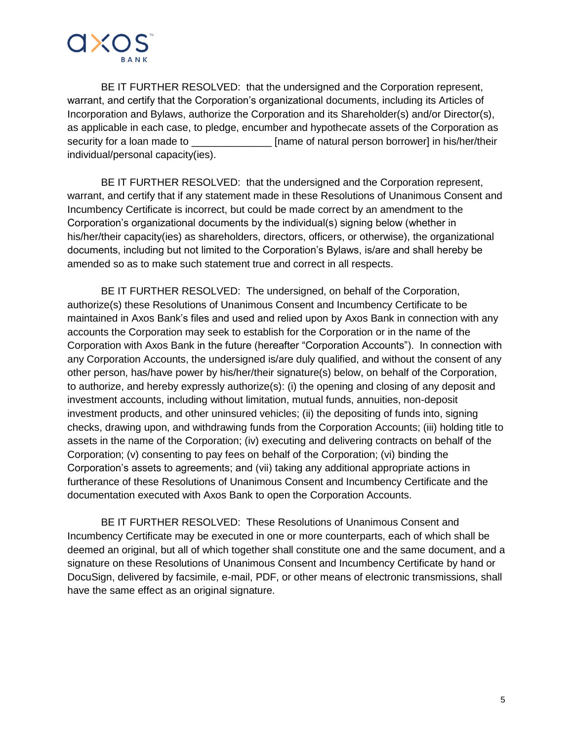

BE IT FURTHER RESOLVED: that the undersigned and the Corporation represent, warrant, and certify that the Corporation's organizational documents, including its Articles of Incorporation and Bylaws, authorize the Corporation and its Shareholder(s) and/or Director(s), as applicable in each case, to pledge, encumber and hypothecate assets of the Corporation as security for a loan made to \_\_\_\_\_\_\_\_\_\_\_\_\_\_\_\_\_\_\_\_\_\_ [name of natural person borrower] in his/her/their individual/personal capacity(ies).

BE IT FURTHER RESOLVED: that the undersigned and the Corporation represent, warrant, and certify that if any statement made in these Resolutions of Unanimous Consent and Incumbency Certificate is incorrect, but could be made correct by an amendment to the Corporation's organizational documents by the individual(s) signing below (whether in his/her/their capacity(ies) as shareholders, directors, officers, or otherwise), the organizational documents, including but not limited to the Corporation's Bylaws, is/are and shall hereby be amended so as to make such statement true and correct in all respects.

BE IT FURTHER RESOLVED: The undersigned, on behalf of the Corporation, authorize(s) these Resolutions of Unanimous Consent and Incumbency Certificate to be maintained in Axos Bank's files and used and relied upon by Axos Bank in connection with any accounts the Corporation may seek to establish for the Corporation or in the name of the Corporation with Axos Bank in the future (hereafter "Corporation Accounts"). In connection with any Corporation Accounts, the undersigned is/are duly qualified, and without the consent of any other person, has/have power by his/her/their signature(s) below, on behalf of the Corporation, to authorize, and hereby expressly authorize(s): (i) the opening and closing of any deposit and investment accounts, including without limitation, mutual funds, annuities, non-deposit investment products, and other uninsured vehicles; (ii) the depositing of funds into, signing checks, drawing upon, and withdrawing funds from the Corporation Accounts; (iii) holding title to assets in the name of the Corporation; (iv) executing and delivering contracts on behalf of the Corporation; (v) consenting to pay fees on behalf of the Corporation; (vi) binding the Corporation's assets to agreements; and (vii) taking any additional appropriate actions in furtherance of these Resolutions of Unanimous Consent and Incumbency Certificate and the documentation executed with Axos Bank to open the Corporation Accounts.

BE IT FURTHER RESOLVED: These Resolutions of Unanimous Consent and Incumbency Certificate may be executed in one or more counterparts, each of which shall be deemed an original, but all of which together shall constitute one and the same document, and a signature on these Resolutions of Unanimous Consent and Incumbency Certificate by hand or DocuSign, delivered by facsimile, e-mail, PDF, or other means of electronic transmissions, shall have the same effect as an original signature.